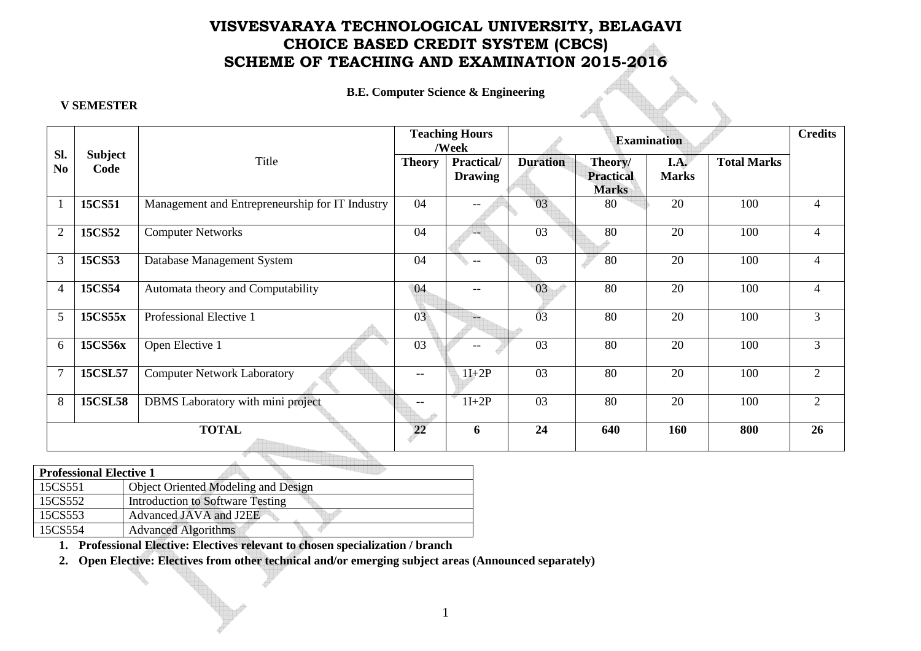# **VISVESVARAYA TECHNOLOGICAL UNIVERSITY, BELAGAVI CHOICE BASED CREDIT SYSTEM (CBCS) SCHEME OF TEACHING AND EXAMINATION 2015-2016**

### **B.E. Computer Science & Engineering**

### **V SEMESTER**

|                       |                        |                                                 | <b>Teaching Hours</b><br>/Week |                              | <b>Examination</b> |                                             |                             |                    | <b>Credits</b> |
|-----------------------|------------------------|-------------------------------------------------|--------------------------------|------------------------------|--------------------|---------------------------------------------|-----------------------------|--------------------|----------------|
| Sl.<br>N <sub>0</sub> | <b>Subject</b><br>Code | Title                                           | <b>Theory</b>                  | Practical/<br><b>Drawing</b> | <b>Duration</b>    | Theory/<br><b>Practical</b><br><b>Marks</b> | <b>I.A.</b><br><b>Marks</b> | <b>Total Marks</b> |                |
|                       | 15CS51                 | Management and Entrepreneurship for IT Industry | 04                             | $\qquad \qquad -$            | 03                 | 80                                          | 20                          | 100                | 4              |
| $\overline{2}$        | 15CS52                 | <b>Computer Networks</b>                        | 04                             | $-$                          | 03                 | 80                                          | 20                          | 100                | 4              |
| 3                     | 15CS53                 | Database Management System                      | 04                             | $\qquad \qquad -$            | 03                 | 80                                          | 20                          | 100                | $\overline{4}$ |
| 4                     | 15CS54                 | Automata theory and Computability               | 04                             | $- -$                        | 03                 | 80                                          | 20                          | 100                | $\overline{4}$ |
| 5                     | 15CS55x                | Professional Elective 1                         | 03                             | $\qquad \qquad -$            | 03                 | 80                                          | 20                          | 100                | $\overline{3}$ |
| 6                     | 15CS56x                | Open Elective 1                                 | 03                             |                              | 03                 | 80                                          | 20                          | 100                | $\mathfrak{Z}$ |
| $\overline{7}$        | <b>15CSL57</b>         | <b>Computer Network Laboratory</b>              | $\overline{\phantom{m}}$       | $1I+2P$                      | 03                 | 80                                          | 20                          | 100                | $\overline{2}$ |
| 8                     | <b>15CSL58</b>         | DBMS Laboratory with mini project               |                                | $1I+2P$                      | 03                 | 80                                          | 20                          | 100                | $\overline{2}$ |
| <b>TOTAL</b>          |                        |                                                 | 22                             | 6                            | 24                 | 640                                         | 160                         | 800                | 26             |

| <b>Professional Elective 1</b> |                                         |  |  |  |  |
|--------------------------------|-----------------------------------------|--|--|--|--|
| 15CS551                        | Object Oriented Modeling and Design     |  |  |  |  |
| 15CS552                        | <b>Introduction to Software Testing</b> |  |  |  |  |
| 15CS553                        | Advanced JAVA and J2EE                  |  |  |  |  |
| 15CS554                        | <b>Advanced Algorithms</b>              |  |  |  |  |

**1. Professional Elective: Electives relevant to chosen specialization / branch** 

**2. Open Elective: Electives from other technical and/or emerging subject areas (Announced separately)**